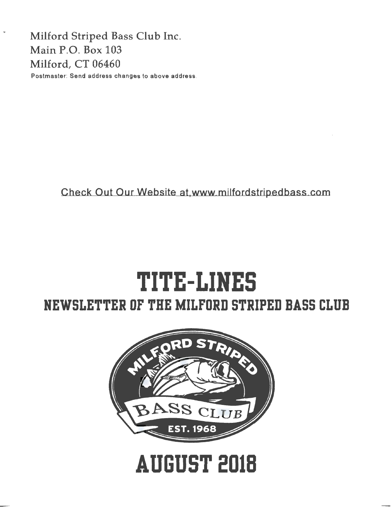Milford Striped Bass Club Inc. Main P.O. Box 103 Milford, CT 06460 Postmaster: Send address changes to above address .

## Check Out Our Website at,www milfordstripedbass com

# **TITE-LIHES**

## **NEWSLETTER OF THE MILFORD STRIPED BASS CLUB**

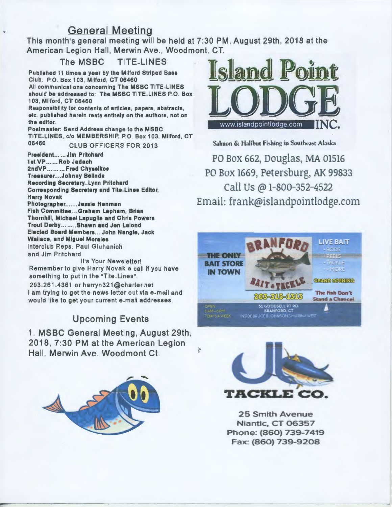## General Meeting

This month's general meeting will be held at 7:30 PM, August 29th, 2018 at the American Legion Hall, Merwin Ave., Woodmont. CT.

#### The MSBC TITE-LINES

Published 11 times a year by the Milford Striped Bass Club. P.O. Box 103, Milford, CT 06460 All communications concerning The MSBC TITE-LINES

should be addressed to: The MSBC TITE-LINES P.O. Box 103, Milford, CT 06460

Responsibility for contents of articles, papers, abstracts, etc. published herein rests entirely on the authors, not on the editor.

Postmaster: Send Address change to the MSBC TITE-LINES, c/o MEMBERSHIP, P.O. Box 103, Milford, CT 06460 CLUB OFFICERS FOR 2013

President... ... Jim Pritchard 1st VP...... Rob Jadach 2ndVP......... Fred Chyssikos Treasurer....Johnny Belinda Recording Secretary..Lynn Pritchard Corresponding Secretary and Tite-Linee Editor, Harry Novak Photographer.......Jessie Henman Fish Committee ... Graham Lapham, Brian Thornhill, Michael Lapuglia and Chris Powers Trout Derby........Shawn and Jen Lalond Elected Board Members... John Nangle, Jack Wallace, and Miguel Morales lnterclub Reps. Paul Gluhanich and Jim Pritchard

It's Your Newsletter! Remember to give Harry Novak a call if you have something to put in the "Tite-Lines".

203-261-4361 or harryn321 @charter. net I am trying to get the news letter out via e-mail and would like to get your current e-mail addresses.

## Upcoming Events

1. MSBC General Meeting, August 29th, 2018 , 7:30 PM at the American Legion Hall, Merwin Ave. Woodmont Ct.



- - ----- --------------



Salmon & Halibut Fishing in Southeast Alaska

PO Box 662, Douglas, MA 01516 PO Box 1669, Petersburg, AK 99833 call Us @ 1-800-352-4522 Email: frank@islandpointlodge.com





25 Smith Avenue Niantic, CT 06357 Phone: {860) 739-7419 Fax: (860) 739-9208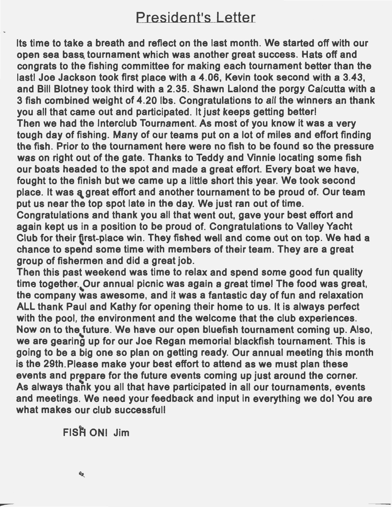## President's Letter

Its time to take a breath and reflect on the last month. We started off with our open sea bass tournament which was another great success. Hats off and congrats to the fishing committee for making each tournament better than the last! Joe Jackson took first place with a 4.06, Kevin took second with a 3.43, and Bill Blotney took third with a 2.35. Shawn Lalond the porgy Calcutta with a 3 fish combined weight of 4.20 lbs. Congratulations to all the winners an thank you all that came out and participated. It just keeps getting betterl Then we had the lnterclub Tournament. As most of you know it was a very tough day of fishing. Many of our teams put on a lot of miles and effort finding the fish. Prior to the tournament here were no fish to be found so the pressure was on right out of the gate. Thanks to Teddy and Vinnie locating some fish our boats headed to the spot and made a great effort. Every boat we have, fought to the finish but we came up a little short this year. We took second place. It was a great effort and another tournament to be proud of. Our team put us near the top spot late in the day. We just ran out of time. Congratulations and thank you all that went out. gave your best effort and

again kept us in a position to be proud of. Congratulations to Valley Yacht Club for their first-place win. They fished well and come out on top. We had a chance to spend some time with members of their team. They are a great group of fishermen and did a great job.

Then this past weekend was time to relax and spend some good fun quality time together. Our annual picnic was again a great time! The food was great, the company was awesome, and it was a fantastic day of fun and relaxation ALL thank Paul and Kathy for opening their home to us. It is always perfect with the pool, the environment and the welcome that the club experiences. Now on to the future. We have our open bluefish tournament coming up. Also, we are gearing up for our Joe Regan memorial blackfish tournament. This is going to be a big one so plan on getting ready. Our annual meeting this month is the 29th. Please make your best effort to attend as we must plan these events and prepare for the future events coming up just around the corner. As always thank you all that have participated in all our tournaments, events and meetings. We need your feedback and input in everything we dol You are what makes our club successfull

**FISH ONI Jim** 

暾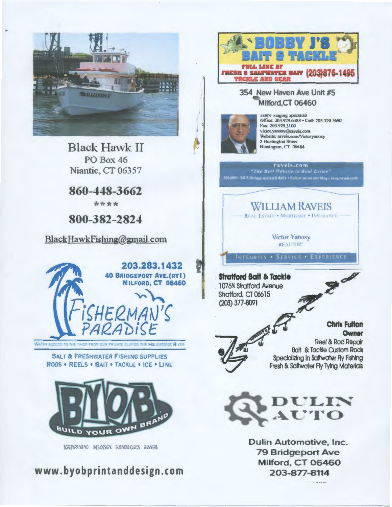

**Black Hawk II PO Box 46** Niantic, CT 06357

860-448-3662 \*\*\*\*

800-382-2824

BlackHawkFishing@gmail.com



ESS TO THE SHOP FROM OUR PRIVATE SLIP ON THE MOUSATONIC RIVER WATER AC

**SALT & FRESHWATER FISHING SUPPLIES** RODS . REELS . BAIT . TACKLE . ICE . LINE



KRENANING WEBCENEN BUSNESSCARS BANGES

www.byobprintanddesign.com



### 354 New Haven Ave Unit #5 Milford, CT 06460



riome staging speciatist Office: 203.929.6388 · Cell: 203.520.5690 Fax: 203.929.3100 victor.yanosy@raveis.com Website: raveis.com/Victoryanosy 2 Huntington Street Huntington, CT 06484

#### raveis.com "The Best Website in Real Estate" 60,000 MLS listings updated daily . Follow us on our blog - olog ravels or

WILLIAM RAVEIS **REAL ESTATE . MORTGAGE . INSURANCE** 

**Victor Yanosy REALTOR TEGRITY . SERVICE . EXPERIENCE Stratford Balt & Tackle** 1076% Stratford Avenue Stratford, CT 06615

 $(203)$  377-8091





**Reel & Rod Repair Balt & Tackle Custom Rods** Specializing in Saltwater Fly Fishing Fresh & Saltwater Fly Tying Materials



Dulin Automotive, Inc. **79 Bridgeport Ave** Milford, CT 06460 203-877-8114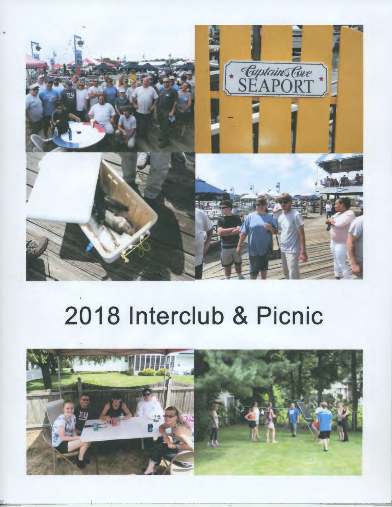

# 2018 lnterclub & Picnic

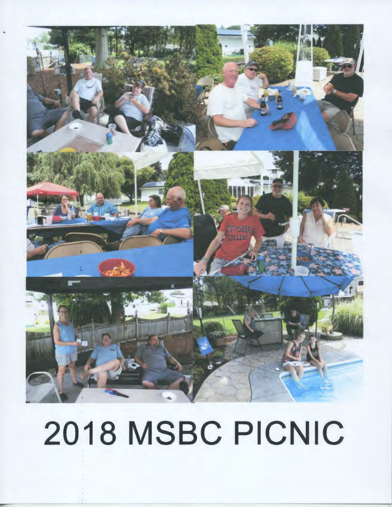

# 2018 MSBC PICNIC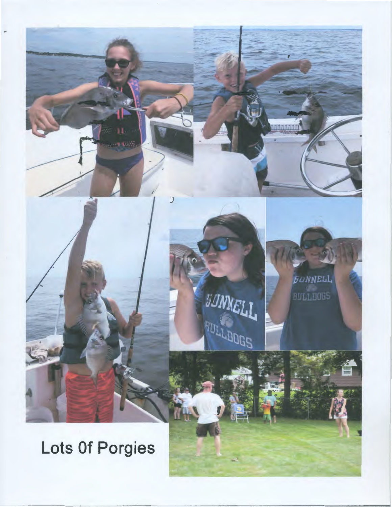

## Lots Of Porgies

....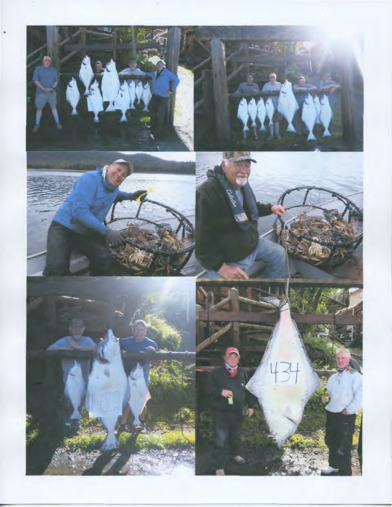